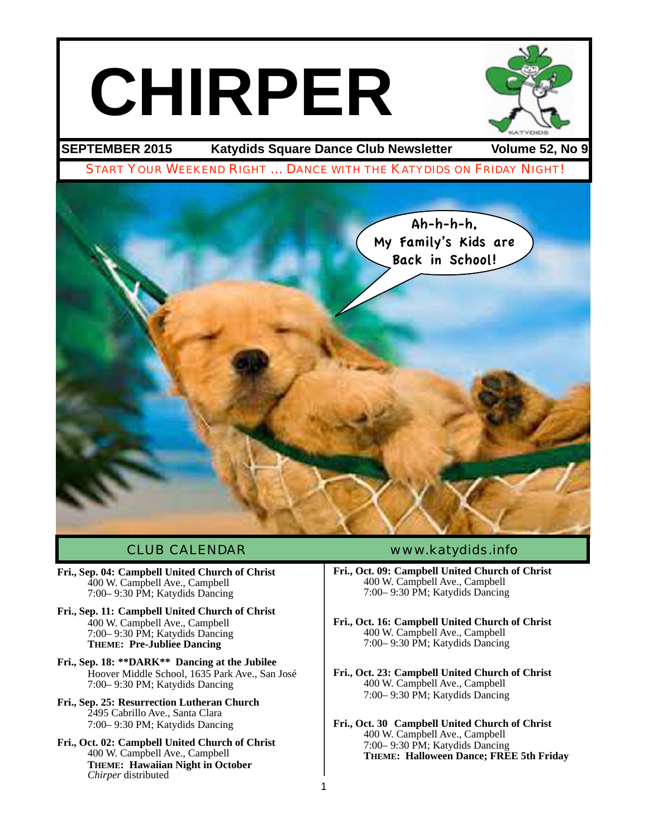# **CHIRPER**



**SEPTEMBER 2015 Katydids Square Dance Club Newsletter Volume 52, No 9**

START YOUR WEEKEND RIGHT … DANCE WITH THE KATYDIDS ON FRIDAY NIGHT!



1

- **Fri., Sep. 04: Campbell United Church of Christ** 400 W. Campbell Ave., Campbell 7:00– 9:30 PM; Katydids Dancing
- **Fri., Sep. 11: Campbell United Church of Christ** 400 W. Campbell Ave., Campbell 7:00– 9:30 PM; Katydids Dancing **THEME: Pre-Jubliee Dancing**
- **Fri., Sep. 18: \*\*DARK\*\* Dancing at the Jubilee** Hoover Middle School, 1635 Park Ave., San José 7:00– 9:30 PM; Katydids Dancing
- **Fri., Sep. 25: Resurrection Lutheran Church** 2495 Cabrillo Ave., Santa Clara 7:00– 9:30 PM; Katydids Dancing
- **Fri., Oct. 02: Campbell United Church of Christ** 400 W. Campbell Ave., Campbell **THEME: Hawaiian Night in October** *Chirper* distributed

#### CLUB CALENDAR [www.katydids.info](http://www.katydids.info)

- **Fri., Oct. 09: Campbell United Church of Christ** 400 W. Campbell Ave., Campbell 7:00– 9:30 PM; Katydids Dancing
- **Fri., Oct. 16: Campbell United Church of Christ** 400 W. Campbell Ave., Campbell 7:00– 9:30 PM; Katydids Dancing
- **Fri., Oct. 23: Campbell United Church of Christ** 400 W. Campbell Ave., Campbell 7:00– 9:30 PM; Katydids Dancing
- **Fri., Oct. 30 Campbell United Church of Christ** 400 W. Campbell Ave., Campbell 7:00– 9:30 PM; Katydids Dancing **THEME: Halloween Dance; FREE 5th Friday**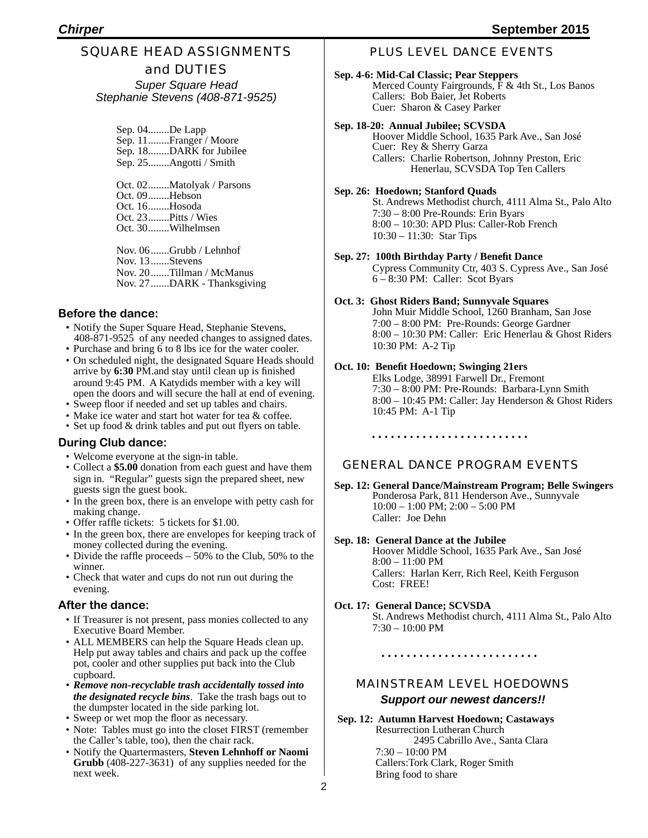#### SQUARE HEAD ASSIGNMENTS and DUTIES

*Super Square Head Stephanie Stevens (408-871-9525)*

> Sep. 04........De Lapp Sep. 11........Franger / Moore Sep. 18........DARK for Jubilee Sep. 25........Angotti / Smith Oct. 02........Matolyak / Parsons Oct. 09........Hebson Oct. 16........Hosoda Oct. 23........Pitts / Wies Oct. 30........Wilhelmsen

Nov. 06.......Grubb / Lehnhof Nov. 13.......Stevens Nov. 20.......Tillman / McManus Nov. 27.......DARK - Thanksgiving

#### **Before the dance:**

- Notify the Super Square Head, Stephanie Stevens, 408-871-9525 of any needed changes to assigned dates.
- Purchase and bring 6 to 8 lbs ice for the water cooler.
- On scheduled night, the designated Square Heads should arrive by **6:30** PM.and stay until clean up is finished around 9:45 PM. A Katydids member with a key will open the doors and will secure the hall at end of evening.
- Sweep floor if needed and set up tables and chairs.
- Make ice water and start hot water for tea & coffee.
- Set up food & drink tables and put out flyers on table.

#### **During Club dance:**

- Welcome everyone at the sign-in table.
- Collect a **\$5.00** donation from each guest and have them sign in. "Regular" guests sign the prepared sheet, new guests sign the guest book.
- In the green box, there is an envelope with petty cash for making change.
- Offer raffle tickets: 5 tickets for \$1.00.
- In the green box, there are envelopes for keeping track of money collected during the evening.
- Divide the raffle proceeds 50% to the Club, 50% to the winner.
- Check that water and cups do not run out during the evening.

#### **After the dance:**

- If Treasurer is not present, pass monies collected to any Executive Board Member.
- ALL MEMBERS can help the Square Heads clean up. Help put away tables and chairs and pack up the coffee pot, cooler and other supplies put back into the Club cupboard.
- *Remove non-recyclable trash accidentally tossed into the designated recycle bins*. Take the trash bags out to the dumpster located in the side parking lot.
- Sweep or wet mop the floor as necessary.
- Note: Tables must go into the closet FIRST (remember the Caller's table, too), then the chair rack.
- Notify the Quartermasters, **Steven Lehnhoff or Naomi Grubb** (408-227-3631) of any supplies needed for the next week.

#### PLUS LEVEL DANCE EVENTS

**Sep. 4-6: Mid-Cal Classic; Pear Steppers** Merced County Fairgrounds, F & 4th St., Los Banos Callers: Bob Baier, Jet Roberts Cuer: Sharon & Casey Parker

#### **Sep. 18-20: Annual Jubilee; SCVSDA**

Hoover Middle School, 1635 Park Ave., San José Cuer: Rey & Sherry Garza Callers: Charlie Robertson, Johnny Preston, Eric Henerlau, SCVSDA Top Ten Callers

#### **Sep. 26: Hoedown; Stanford Quads**

St. Andrews Methodist church, 4111 Alma St., Palo Alto 7:30 – 8:00 Pre-Rounds: Erin Byars 8:00 – 10:30: APD Plus: Caller-Rob French 10:30 – 11:30: Star Tips

**Sep. 27: 100th Birthday Party / Benefit Dance** Cypress Community Ctr, 403 S. Cypress Ave., San José 6 – 8:30 PM: Caller: Scot Byars

#### **Oct. 3: Ghost Riders Band; Sunnyvale Squares** John Muir Middle School, 1260 Branham, San Jose

7:00 – 8:00 PM: Pre-Rounds: George Gardner 8:00 – 10:30 PM: Caller: Eric Henerlau & Ghost Riders 10:30 PM: A-2 Tip

#### **Oct. 10: Benefit Hoedown; Swinging 21ers**

Elks Lodge, 38991 Farwell Dr., Fremont 7:30 – 8:00 PM: Pre-Rounds: Barbara-Lynn Smith 8:00 – 10:45 PM: Caller: Jay Henderson & Ghost Riders 10:45 PM: A-1 Tip

#### GENERAL DANCE PROGRAM EVENTS

**Sep. 12: General Dance/Mainstream Program; Belle Swingers** Ponderosa Park, 811 Henderson Ave., Sunnyvale 10:00 – 1:00 PM; 2:00 – 5:00 PM Caller: Joe Dehn

#### **Sep. 18: General Dance at the Jubilee** Hoover Middle School, 1635 Park Ave., San José

8:00 – 11:00 PM Callers: Harlan Kerr, Rich Reel, Keith Ferguson Cost: FREE!

#### **Oct. 17: General Dance; SCVSDA** St. Andrews Methodist church, 4111 Alma St., Palo Alto 7:30 – 10:00 PM

#### MAINSTREAM LEVEL HOEDOWNS *Support our newest dancers!!*

**Sep. 12: Autumn Harvest Hoedown; Castaways** 2495 Cabrillo Ave., Santa Clara 7:30 – 10:00 PM Callers:Tork Clark, Roger Smith Bring food to share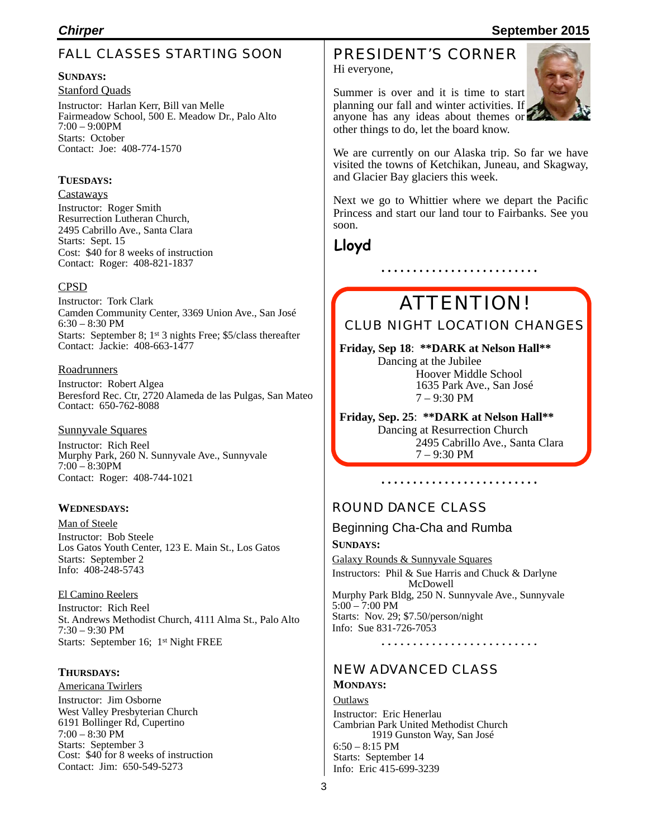#### FALL CLASSES STARTING SOON

#### **SUNDAYS:**

Stanford Quads Instructor: Harlan Kerr, Bill van Melle Fairmeadow School, 500 E. Meadow Dr., Palo Alto 7:00 – 9:00PM Starts: October Contact: Joe: 408-774-1570

#### **TUESDAYS:**

#### Castaways

Instructor: Roger Smith Resurrection Lutheran Church, 2495 Cabrillo Ave., Santa Clara Starts: Sept. 15 Cost: \$40 for 8 weeks of instruction Contact: Roger: 408-821-1837

#### CPSD

Instructor: Tork Clark Camden Community Center, 3369 Union Ave., San José 6:30 – 8:30 PM Starts: September 8; 1st 3 nights Free; \$5/class thereafter Contact: Jackie: 408-663-1477

#### **Roadrunners**

Instructor: Robert Algea Beresford Rec. Ctr, 2720 Alameda de las Pulgas, San Mateo Contact: 650-762-8088

#### Sunnyvale Squares

Instructor: Rich Reel Murphy Park, 260 N. Sunnyvale Ave., Sunnyvale 7:00 – 8:30PM Contact: Roger: 408-744-1021

#### **WEDNESDAYS:**

Man of Steele Instructor: Bob Steele Los Gatos Youth Center, 123 E. Main St., Los Gatos Starts: September 2 Info: 408-248-5743

#### El Camino Reelers

Instructor: Rich Reel St. Andrews Methodist Church, 4111 Alma St., Palo Alto 7:30 – 9:30 PM Starts: September 16; 1st Night FREE

#### **THURSDAYS:**

Americana Twirlers Instructor: Jim Osborne West Valley Presbyterian Church 6191 Bollinger Rd, Cupertino 7:00 – 8:30 PM Starts: September 3 Cost: \$40 for 8 weeks of instruction Contact: Jim: 650-549-5273

### PRESIDENT'S CORNER

Hi everyone,

Summer is over and it is time to start planning our fall and winter activities. If anyone has any ideas about themes or other things to do, let the board know.



We are currently on our Alaska trip. So far we have visited the towns of Ketchikan, Juneau, and Skagway, and Glacier Bay glaciers this week.

Next we go to Whittier where we depart the Pacific Princess and start our land tour to Fairbanks. See you soon.

**Lloyd**

# ATTENTION!

#### CLUB NIGHT LOCATION CHANGES

**Friday, Sep 18**: **\*\*DARK at Nelson Hall\*\*** Dancing at the Jubilee Hoover Middle School

 1635 Park Ave., San José 7 – 9:30 PM

**Friday, Sep. 25**: **\*\*DARK at Nelson Hall\*\*** Dancing at Resurrection Church 2495 Cabrillo Ave., Santa Clara<br>7 – 9:30 PM

#### ROUND DANCE CLASS

#### Beginning Cha-Cha and Rumba

**SUNDAYS:** Galaxy Rounds & Sunnyvale Squares Instructors: Phil & Sue Harris and Chuck & Darlyne McDowell Murphy Park Bldg, 250 N. Sunnyvale Ave., Sunnyvale 5:00 – 7:00 PM Starts: Nov. 29; \$7.50/person/night Info: Sue 831-726-7053

#### NEW ADVANCED CLASS

#### **MONDAYS:**

Outlaws Instructor: Eric Henerlau Cambrian Park United Methodist Church 1919 Gunston Way, San José 6:50 – 8:15 PM Starts: September 14 Info: Eric 415-699-3239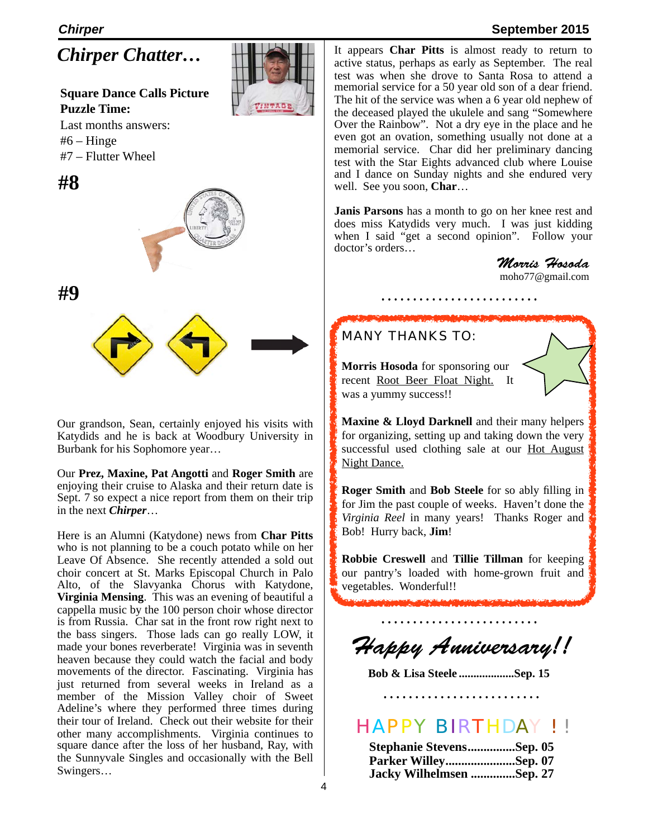#### *Chirper* **September 2015**

*Chirper Chatter…*

#### **Square Dance Calls Picture Puzzle Time:**

Last months answers:  $#6 - Hinge$ #7 – Flutter Wheel





**#9**

Our grandson, Sean, certainly enjoyed his visits with Katydids and he is back at Woodbury University in Burbank for his Sophomore year…

Our **Prez, Maxine, Pat Angotti** and **Roger Smith** are enjoying their cruise to Alaska and their return date is Sept. 7 so expect a nice report from them on their trip in the next *Chirper*…

Here is an Alumni (Katydone) news from **Char Pitts** who is not planning to be a couch potato while on her Leave Of Absence. She recently attended a sold out choir concert at St. Marks Episcopal Church in Palo Alto, of the Slavyanka Chorus with Katydone, **Virginia Mensing**. This was an evening of beautiful a cappella music by the 100 person choir whose director is from Russia. Char sat in the front row right next to the bass singers. Those lads can go really LOW, it made your bones reverberate! Virginia was in seventh heaven because they could watch the facial and body movements of the director. Fascinating. Virginia has just returned from several weeks in Ireland as a member of the Mission Valley choir of Sweet Adeline's where they performed three times during their tour of Ireland. Check out their website for their other many accomplishments. Virginia continues to square dance after the loss of her husband, Ray, with the Sunnyvale Singles and occasionally with the Bell Swingers…

It appears **Char Pitts** is almost ready to return to active status, perhaps as early as September. The real test was when she drove to Santa Rosa to attend a memorial service for a 50 year old son of a dear friend. The hit of the service was when a 6 year old nephew of the deceased played the ukulele and sang "Somewhere Over the Rainbow". Not a dry eye in the place and he even got an ovation, something usually not done at a memorial service. Char did her preliminary dancing test with the Star Eights advanced club where Louise and I dance on Sunday nights and she endured very well. See you soon, **Char**…

**Janis Parsons** has a month to go on her knee rest and does miss Katydids very much. I was just kidding when I said "get a second opinion". Follow your doctor's orders…

*Morris Hosoda* [moho77@gmail.com](mailto:moho77@gmail.com)

#### MANY THANKS TO:



**Morris Hosoda** for sponsoring our recent Root Beer Float Night. It was a yummy success!!

**Maxine & Lloyd Darknell** and their many helpers for organizing, setting up and taking down the very successful used clothing sale at our Hot August Night Dance.

**Roger Smith** and **Bob Steele** for so ably filling in for Jim the past couple of weeks. Haven't done the *Virginia Reel* in many years! Thanks Roger and Bob! Hurry back, **Jim**!

**Robbie Creswell** and **Tillie Tillman** for keeping our pantry's loaded with home-grown fruit and vegetables. Wonderful!!

*Happy Anniversary!!*

**Bob & Lisa Steele ...................Sep. 15**

HAPPY BIRTHDAY ! !

| Stephanie StevensSep. 05 |  |
|--------------------------|--|
| Parker WilleySep. 07     |  |
| Jacky Wilhelmsen Sep. 27 |  |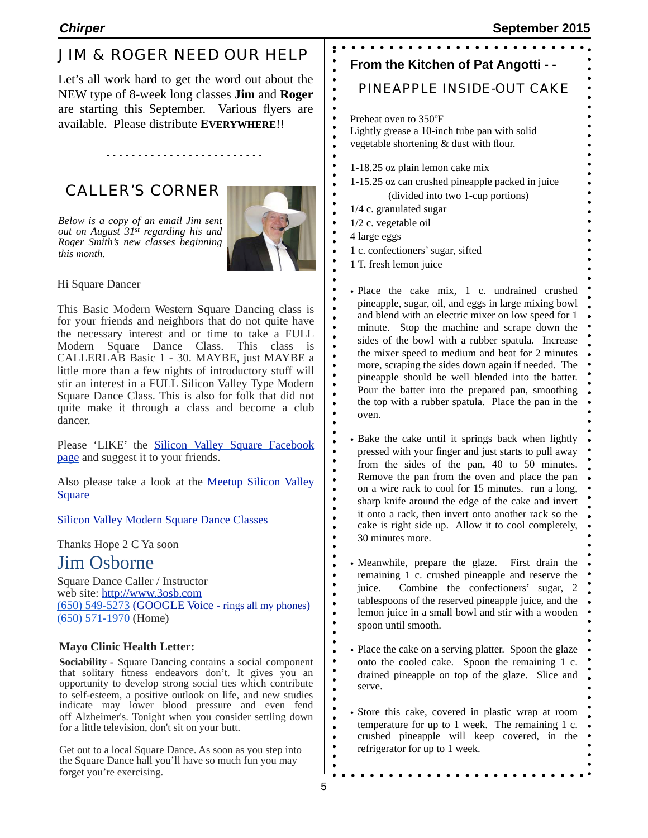## JIM & ROGER NEED OUR HELP

Let's all work hard to get the word out about the NEW type of 8-week long classes **Jim** and **Roger** are starting this September. Various flyers are available. Please distribute **EVERYWHERE**!!

## CALLER'S CORNER

*Below is a copy of an email Jim sent out on August 31st regarding his and Roger Smith's new classes beginning* 



 $\bullet$ 

 $\bullet$ 

 $\bullet$ 

 $\bullet$ 

 $\bullet$ 

 $\bullet$  $\bullet$  $\bullet$  $\bullet$  $\bullet$  $\bullet$  $\bullet$  $\bullet$  $\bullet$  $\bullet$  $\bullet$ 

Hi Square Dancer

*this month.*

This Basic Modern Western Square Dancing class is for your friends and neighbors that do not quite have the necessary interest and or time to take a FULL Modern Square Dance Class. This class is CALLERLAB Basic 1 - 30. MAYBE, just MAYBE a little more than a few nights of introductory stuff will stir an interest in a FULL Silicon Valley Type Modern Square Dance Class. This is also for folk that did not quite make it through a class and become a club dancer.

Please 'LIKE' the [Silicon Valley Square Facebook](https://www.facebook.com/pages/Silicon-Valley-Square/443519952487344) [page](https://www.facebook.com/pages/Silicon-Valley-Square/443519952487344) and suggest it to your friends.

Also please take a look at the Meetup Silicon Valley **[Square](http://www.meetup.com/Silicon-Valley-Square/)** 

#### [Silicon Valley Modern Square Dance Classes](http://3osb.com/classes.html)

Thanks Hope 2 C Ya soon

## Jim Osborne

Square Dance Caller / Instructor web site: [http://www.3osb.com](http://www.3osb.com/) (650) 549-5273 (GOOGLE Voice - rings all my phones) (650) 571-1970 (Home)

#### **Mayo Clinic Health Letter:**

**Sociability -** Square Dancing contains a social component that solitary fitness endeavors don't. It gives you an opportunity to develop strong social ties which contribute to self-esteem, a positive outlook on life, and new studies indicate may lower blood pressure and even fend off Alzheimer's. Tonight when you consider settling down for a little television, don't sit on your butt.

Get out to a local Square Dance. As soon as you step into the Square Dance hall you'll have so much fun you may forget you're exercising.

| From the Kitchen of Pat Angotti - -                                                                                                                                                                                                                                                                                                                                                                                                                                                                                                                                                                                  |  |
|----------------------------------------------------------------------------------------------------------------------------------------------------------------------------------------------------------------------------------------------------------------------------------------------------------------------------------------------------------------------------------------------------------------------------------------------------------------------------------------------------------------------------------------------------------------------------------------------------------------------|--|
| $\ddot{\bullet}$<br>PINEAPPLE INSIDE-OUT CAKE                                                                                                                                                                                                                                                                                                                                                                                                                                                                                                                                                                        |  |
| $\ddot{\bullet}$<br>Preheat oven to 350°F<br>Lightly grease a 10-inch tube pan with solid<br>vegetable shortening & dust with flour.                                                                                                                                                                                                                                                                                                                                                                                                                                                                                 |  |
| 1-18.25 oz plain lemon cake mix<br>1-15.25 oz can crushed pineapple packed in juice<br>(divided into two 1-cup portions)<br>1/4 c. granulated sugar<br>$1/2$ c. vegetable oil<br>4 large eggs<br>1 c. confectioners' sugar, sifted<br>1 T. fresh lemon juice<br>$\bullet$                                                                                                                                                                                                                                                                                                                                            |  |
| $\bullet$<br>· Place the cake mix, 1 c. undrained crushed<br>pineapple, sugar, oil, and eggs in large mixing bowl<br>and blend with an electric mixer on low speed for 1<br>$\bullet$<br>minute. Stop the machine and scrape down the<br>sides of the bowl with a rubber spatula. Increase<br>the mixer speed to medium and beat for 2 minutes<br>$\bullet$<br>more, scraping the sides down again if needed. The<br>pineapple should be well blended into the batter.<br>Pour the batter into the prepared pan, smoothing<br>$\bullet$<br>the top with a rubber spatula. Place the pan in the<br>$\bullet$<br>oven. |  |
| • Bake the cake until it springs back when lightly<br>pressed with your finger and just starts to pull away<br>from the sides of the pan, 40 to 50 minutes.<br>Remove the pan from the oven and place the pan<br>on a wire rack to cool for 15 minutes. run a long,<br>sharp knife around the edge of the cake and invert<br>it onto a rack, then invert onto another rack so the<br>$\bullet$<br>cake is right side up. Allow it to cool completely,<br>30 minutes more.                                                                                                                                            |  |
| • Meanwhile, prepare the glaze.<br>First drain the<br>$\bullet$<br>remaining 1 c. crushed pineapple and reserve the<br>Combine the confectioners' sugar,<br>juice.<br>2<br>tablespoons of the reserved pineapple juice, and the<br>$\bullet$<br>lemon juice in a small bowl and stir with a wooden<br>spoon until smooth.                                                                                                                                                                                                                                                                                            |  |
| $\bullet$<br>• Place the cake on a serving platter. Spoon the glaze<br>$\bullet$<br>onto the cooled cake. Spoon the remaining 1 c.<br>drained pineapple on top of the glaze. Slice and<br>serve.                                                                                                                                                                                                                                                                                                                                                                                                                     |  |
| • Store this cake, covered in plastic wrap at room<br>temperature for up to 1 week. The remaining 1 c.<br>crushed pineapple will keep covered, in<br>the                                                                                                                                                                                                                                                                                                                                                                                                                                                             |  |

refrigerator for up to 1 week.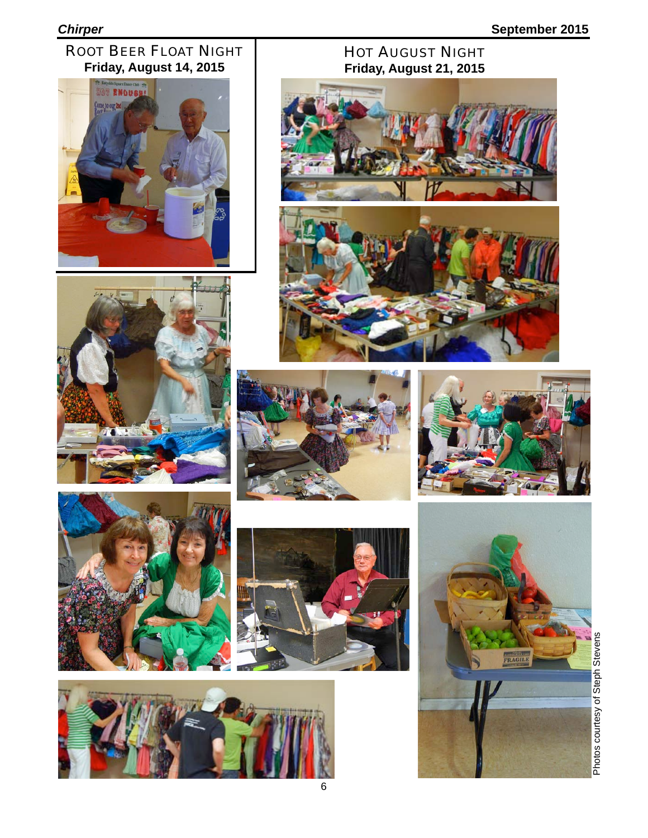### ROOT BEER FLOAT NIGHT **Friday, August 14, 2015**











#### HOT AUGUST NIGHT **Friday, August 21, 2015**









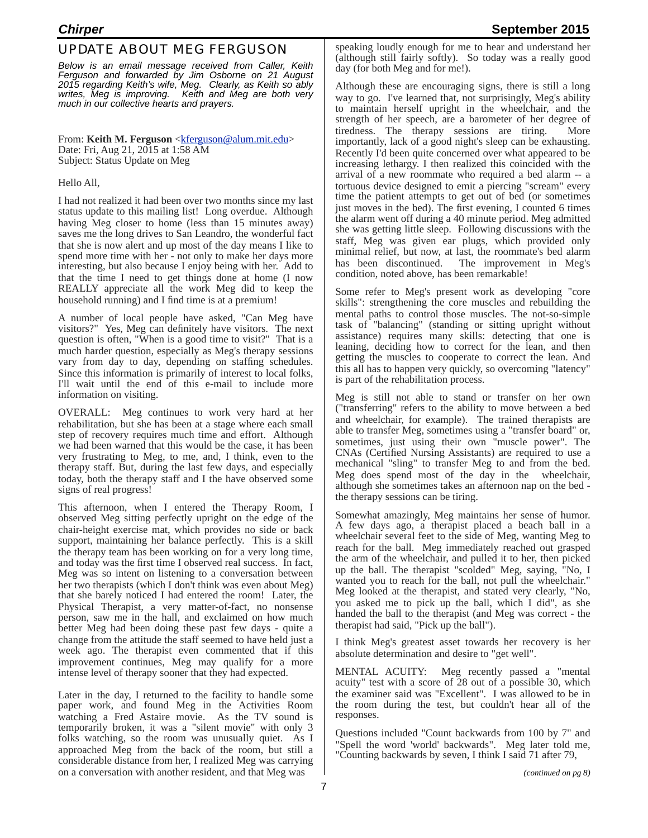#### UPDATE ABOUT MEG FERGUSON

*Below is an email message received from Caller, Keith Ferguson and forwarded by Jim Osborne on 21 August 2015 regarding Keith's wife, Meg. Clearly, as Keith so ably writes, Meg is improving. Keith and Meg are both very much in our collective hearts and prayers.*

From: **Keith M. Ferguson** <**kferguson**@alum.mit.edu> Date: Fri, Aug 21, 2015 at 1:58 AM Subject: Status Update on Meg

#### Hello All,

I had not realized it had been over two months since my last status update to this mailing list! Long overdue. Although having Meg closer to home (less than 15 minutes away) saves me the long drives to San Leandro, the wonderful fact that she is now alert and up most of the day means I like to spend more time with her - not only to make her days more interesting, but also because I enjoy being with her. Add to that the time I need to get things done at home (I now REALLY appreciate all the work Meg did to keep the household running) and I find time is at a premium!

A number of local people have asked, "Can Meg have visitors?" Yes, Meg can definitely have visitors. The next question is often, "When is a good time to visit?" That is a much harder question, especially as Meg's therapy sessions vary from day to day, depending on staffing schedules. Since this information is primarily of interest to local folks, I'll wait until the end of this e-mail to include more information on visiting.

OVERALL: Meg continues to work very hard at her rehabilitation, but she has been at a stage where each small step of recovery requires much time and effort. Although we had been warned that this would be the case, it has been very frustrating to Meg, to me, and, I think, even to the therapy staff. But, during the last few days, and especially today, both the therapy staff and I the have observed some signs of real progress!

This afternoon, when I entered the Therapy Room, I observed Meg sitting perfectly upright on the edge of the chair-height exercise mat, which provides no side or back support, maintaining her balance perfectly. This is a skill the therapy team has been working on for a very long time, and today was the first time I observed real success. In fact, Meg was so intent on listening to a conversation between her two therapists (which I don't think was even about Meg) that she barely noticed I had entered the room! Later, the Physical Therapist, a very matter-of-fact, no nonsense person, saw me in the hall, and exclaimed on how much better Meg had been doing these past few days - quite a change from the attitude the staff seemed to have held just a week ago. The therapist even commented that if this improvement continues, Meg may qualify for a more intense level of therapy sooner that they had expected.

Later in the day, I returned to the facility to handle some paper work, and found Meg in the Activities Room watching a Fred Astaire movie. As the TV sound is temporarily broken, it was a "silent movie" with only 3 folks watching, so the room was unusually quiet. As I approached Meg from the back of the room, but still a considerable distance from her, I realized Meg was carrying on a conversation with another resident, and that Meg was

speaking loudly enough for me to hear and understand her (although still fairly softly). So today was a really good day (for both Meg and for me!).

Although these are encouraging signs, there is still a long way to go. I've learned that, not surprisingly, Meg's ability to maintain herself upright in the wheelchair, and the strength of her speech, are a barometer of her degree of tiredness. The therapy sessions are tiring. More importantly, lack of a good night's sleep can be exhausting. Recently I'd been quite concerned over what appeared to be increasing lethargy. I then realized this coincided with the arrival of a new roommate who required a bed alarm -- a tortuous device designed to emit a piercing "scream" every time the patient attempts to get out of bed (or sometimes just moves in the bed). The first evening, I counted 6 times the alarm went off during a 40 minute period. Meg admitted she was getting little sleep. Following discussions with the staff, Meg was given ear plugs, which provided only minimal relief, but now, at last, the roommate's bed alarm has been discontinued. The improvement in Meg's condition, noted above, has been remarkable!

Some refer to Meg's present work as developing "core skills": strengthening the core muscles and rebuilding the mental paths to control those muscles. The not-so-simple task of "balancing" (standing or sitting upright without assistance) requires many skills: detecting that one is leaning, deciding how to correct for the lean, and then getting the muscles to cooperate to correct the lean. And this all has to happen very quickly, so overcoming "latency" is part of the rehabilitation process.

Meg is still not able to stand or transfer on her own ("transferring" refers to the ability to move between a bed and wheelchair, for example). The trained therapists are able to transfer Meg, sometimes using a "transfer board" or, sometimes, just using their own "muscle power". The CNAs (Certified Nursing Assistants) are required to use a mechanical "sling" to transfer Meg to and from the bed. Meg does spend most of the day in the wheelchair, although she sometimes takes an afternoon nap on the bed the therapy sessions can be tiring.

Somewhat amazingly, Meg maintains her sense of humor. A few days ago, a therapist placed a beach ball in a wheelchair several feet to the side of Meg, wanting Meg to reach for the ball. Meg immediately reached out grasped the arm of the wheelchair, and pulled it to her, then picked up the ball. The therapist "scolded" Meg, saying, "No, I wanted you to reach for the ball, not pull the wheelchair." Meg looked at the therapist, and stated very clearly, "No, you asked me to pick up the ball, which I did", as she handed the ball to the therapist (and Meg was correct - the therapist had said, "Pick up the ball").

I think Meg's greatest asset towards her recovery is her absolute determination and desire to "get well".

MENTAL ACUITY: Meg recently passed a "mental acuity" test with a score of 28 out of a possible 30, which the examiner said was "Excellent". I was allowed to be in the room during the test, but couldn't hear all of the responses.

Questions included "Count backwards from 100 by 7" and "Spell the word 'world' backwards". Meg later told me, "Counting backwards by seven, I think I said 71 after 79,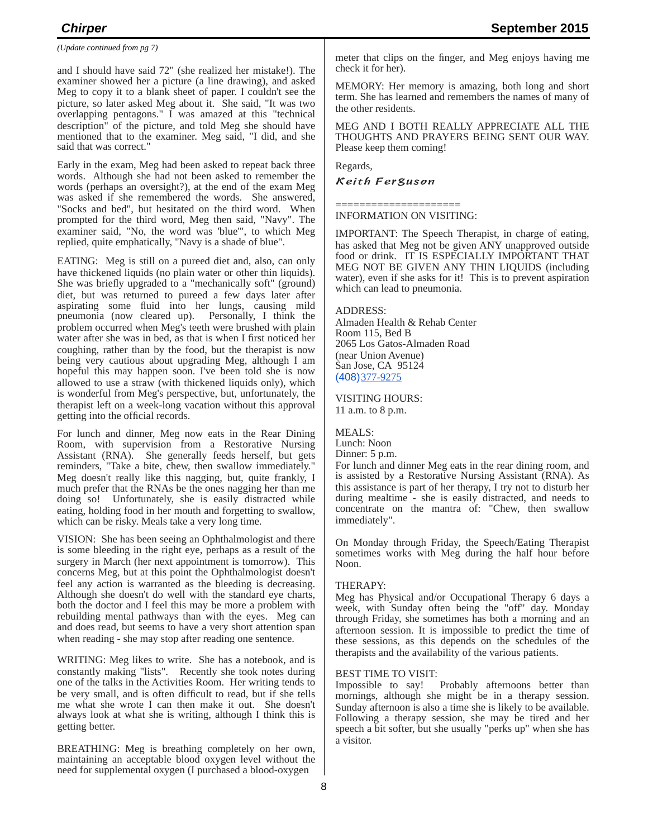*(Update continued from pg 7)*

and I should have said 72" (she realized her mistake!). The examiner showed her a picture (a line drawing), and asked Meg to copy it to a blank sheet of paper. I couldn't see the picture, so later asked Meg about it. She said, "It was two overlapping pentagons." I was amazed at this "technical description" of the picture, and told Meg she should have mentioned that to the examiner. Meg said, "I did, and she said that was correct."

Early in the exam, Meg had been asked to repeat back three words. Although she had not been asked to remember the words (perhaps an oversight?), at the end of the exam Meg was asked if she remembered the words. She answered, "Socks and bed", but hesitated on the third word. When prompted for the third word, Meg then said, "Navy". The examiner said, "No, the word was 'blue'", to which Meg replied, quite emphatically, "Navy is a shade of blue".

EATING: Meg is still on a pureed diet and, also, can only have thickened liquids (no plain water or other thin liquids). She was briefly upgraded to a "mechanically soft" (ground) diet, but was returned to pureed a few days later after aspirating some fluid into her lungs, causing mild pneumonia (now cleared up). Personally, I think the problem occurred when Meg's teeth were brushed with plain water after she was in bed, as that is when I first noticed her coughing, rather than by the food, but the therapist is now being very cautious about upgrading Meg, although I am hopeful this may happen soon. I've been told she is now allowed to use a straw (with thickened liquids only), which is wonderful from Meg's perspective, but, unfortunately, the therapist left on a week-long vacation without this approval getting into the official records.

For lunch and dinner, Meg now eats in the Rear Dining Room, with supervision from a Restorative Nursing Assistant (RNA). She generally feeds herself, but gets reminders, "Take a bite, chew, then swallow immediately." Meg doesn't really like this nagging, but, quite frankly, I much prefer that the RNAs be the ones nagging her than me doing so! Unfortunately, she is easily distracted while eating, holding food in her mouth and forgetting to swallow, which can be risky. Meals take a very long time.

VISION: She has been seeing an Ophthalmologist and there is some bleeding in the right eye, perhaps as a result of the surgery in March (her next appointment is tomorrow). This concerns Meg, but at this point the Ophthalmologist doesn't feel any action is warranted as the bleeding is decreasing. Although she doesn't do well with the standard eye charts, both the doctor and I feel this may be more a problem with rebuilding mental pathways than with the eyes. Meg can and does read, but seems to have a very short attention span when reading - she may stop after reading one sentence.

WRITING: Meg likes to write. She has a notebook, and is constantly making "lists". Recently she took notes during one of the talks in the Activities Room. Her writing tends to be very small, and is often difficult to read, but if she tells me what she wrote I can then make it out. She doesn't always look at what she is writing, although I think this is getting better.

BREATHING: Meg is breathing completely on her own, maintaining an acceptable blood oxygen level without the need for supplemental oxygen (I purchased a blood-oxygen

meter that clips on the finger, and Meg enjoys having me check it for her).

MEMORY: Her memory is amazing, both long and short term. She has learned and remembers the names of many of the other residents.

MEG AND I BOTH REALLY APPRECIATE ALL THE THOUGHTS AND PRAYERS BEING SENT OUR WAY. Please keep them coming!

Regards,

#### Keith Ferguson

===================== INFORMATION ON VISITING:

IMPORTANT: The Speech Therapist, in charge of eating, has asked that Meg not be given ANY unapproved outside food or drink. IT IS ESPECIALLY IMPORTANT THAT MEG NOT BE GIVEN ANY THIN LIQUIDS (including water), even if she asks for it! This is to prevent aspiration which can lead to pneumonia.

#### ADDRESS:

Almaden Health & Rehab Center Room 115, Bed B 2065 Los Gatos-Almaden Road (near Union Avenue) San Jose, CA 95124 (408)377-9275

VISITING HOURS:

11 a.m. to 8 p.m.

MEALS: Lunch: Noon Dinner: 5 p.m.

For lunch and dinner Meg eats in the rear dining room, and is assisted by a Restorative Nursing Assistant (RNA). As this assistance is part of her therapy, I try not to disturb her during mealtime - she is easily distracted, and needs to concentrate on the mantra of: "Chew, then swallow immediately".

On Monday through Friday, the Speech/Eating Therapist sometimes works with Meg during the half hour before Noon.

#### THERAPY:

Meg has Physical and/or Occupational Therapy 6 days a week, with Sunday often being the "off" day. Monday through Friday, she sometimes has both a morning and an afternoon session. It is impossible to predict the time of these sessions, as this depends on the schedules of the therapists and the availability of the various patients.

#### BEST TIME TO VISIT:

Impossible to say! Probably afternoons better than mornings, although she might be in a therapy session. Sunday afternoon is also a time she is likely to be available. Following a therapy session, she may be tired and her speech a bit softer, but she usually "perks up" when she has a visitor.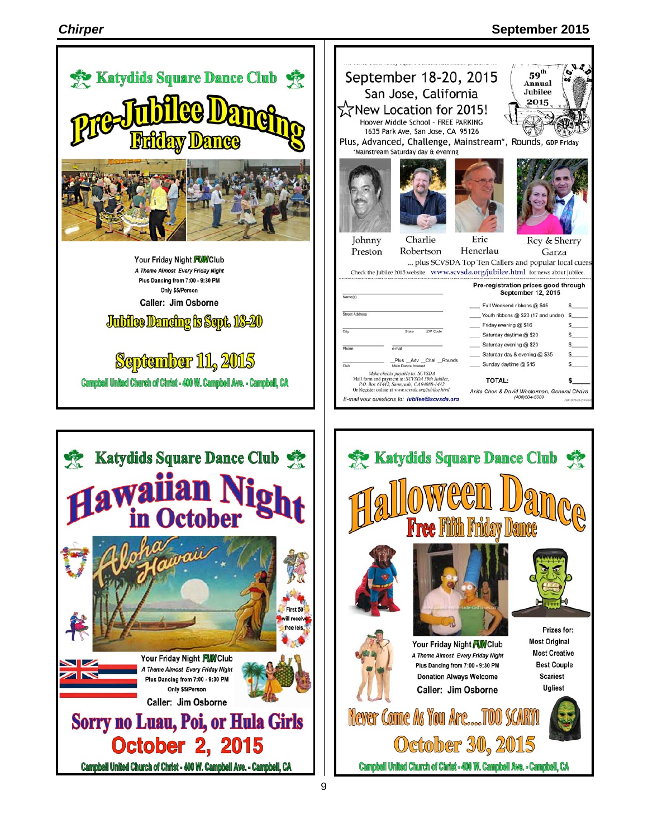#### *Chirper* **September 2015**